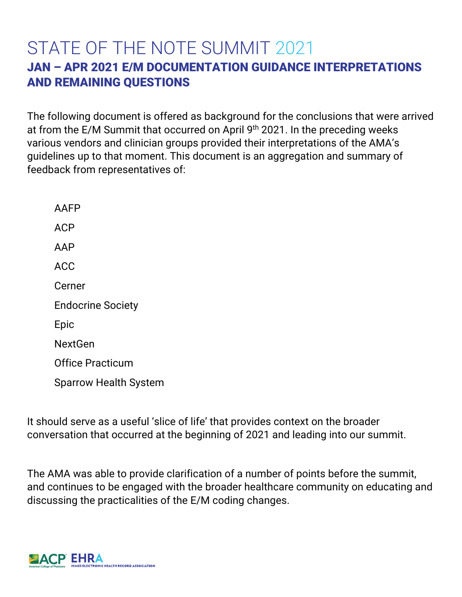# STATE OF THE NOTE SUMMIT 2021 JAN – APR 2021 E/M DOCUMENTATION GUIDANCE INTERPRETATIONS AND REMAINING QUESTIONS

The following document is offered as background for the conclusions that were arrived at from the E/M Summit that occurred on April 9<sup>th</sup> 2021. In the preceding weeks various vendors and clinician groups provided their interpretations of the AMA's guidelines up to that moment. This document is an aggregation and summary of feedback from representatives of:

AAFP ACP AAP ACC Cerner Endocrine Society Epic NextGen Office Practicum Sparrow Health System

It should serve as a useful 'slice of life' that provides context on the broader conversation that occurred at the beginning of 2021 and leading into our summit.

The AMA was able to provide clarification of a number of points before the summit, and continues to be engaged with the broader healthcare community on educating and discussing the practicalities of the E/M coding changes.

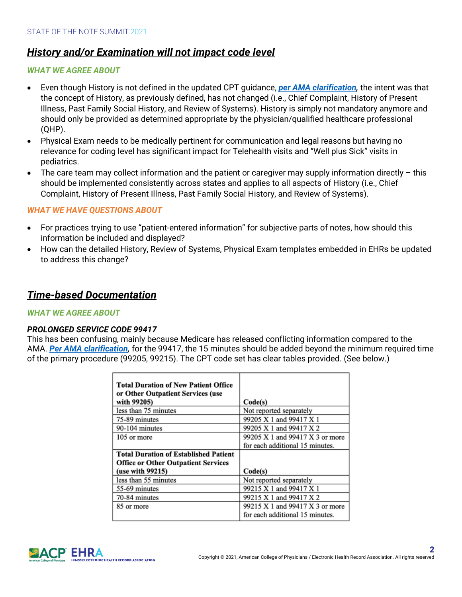# *History and/or Examination will not impact code level*

## *WHAT WE AGREE ABOUT*

- Even though History is not defined in the updated CPT guidance, *per AMA clarification,* the intent was that the concept of History, as previously defined, has not changed (i.e., Chief Complaint, History of Present Illness, Past Family Social History, and Review of Systems). History is simply not mandatory anymore and should only be provided as determined appropriate by the physician/qualified healthcare professional (QHP).
- Physical Exam needs to be medically pertinent for communication and legal reasons but having no relevance for coding level has significant impact for Telehealth visits and "Well plus Sick" visits in pediatrics.
- The care team may collect information and the patient or caregiver may supply information directly this should be implemented consistently across states and applies to all aspects of History (i.e., Chief Complaint, History of Present Illness, Past Family Social History, and Review of Systems).

#### *WHAT WE HAVE QUESTIONS ABOUT*

- For practices trying to use "patient-entered information" for subjective parts of notes, how should this information be included and displayed?
- How can the detailed History, Review of Systems, Physical Exam templates embedded in EHRs be updated to address this change?

# *Time-based Documentation*

#### *WHAT WE AGREE ABOUT*

#### *PROLONGED SERVICE CODE 99417*

This has been confusing, mainly because Medicare has released conflicting information compared to the AMA. *Per AMA clarification,* for the 99417, the 15 minutes should be added beyond the minimum required time of the primary procedure (99205, 99215). The CPT code set has clear tables provided. (See below.)

| <b>Total Duration of New Patient Office</b>      |                                 |
|--------------------------------------------------|---------------------------------|
| or Other Outpatient Services (use<br>with 99205) | Code(s)                         |
| less than 75 minutes                             | Not reported separately         |
| 75-89 minutes                                    | 99205 X 1 and 99417 X 1         |
| 90-104 minutes                                   | 99205 X 1 and 99417 X 2         |
| 105 or more                                      | 99205 X 1 and 99417 X 3 or more |
|                                                  | for each additional 15 minutes. |
| <b>Total Duration of Established Patient</b>     |                                 |
| <b>Office or Other Outpatient Services</b>       |                                 |
| (use with 99215)                                 | Code(s)                         |
| less than 55 minutes                             | Not reported separately         |
| 55-69 minutes                                    | 99215 X 1 and 99417 X 1         |
| 70-84 minutes                                    | 99215 X 1 and 99417 X 2         |
| 85 or more                                       | 99215 X 1 and 99417 X 3 or more |
|                                                  | for each additional 15 minutes. |

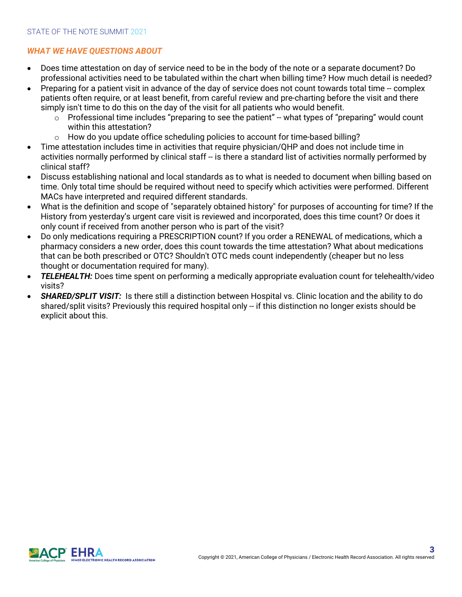# *WHAT WE HAVE QUESTIONS ABOUT*

- Does time attestation on day of service need to be in the body of the note or a separate document? Do professional activities need to be tabulated within the chart when billing time? How much detail is needed?
- Preparing for a patient visit in advance of the day of service does not count towards total time -- complex patients often require, or at least benefit, from careful review and pre-charting before the visit and there simply isn't time to do this on the day of the visit for all patients who would benefit.
	- $\circ$  Professional time includes "preparing to see the patient" -- what types of "preparing" would count within this attestation?
	- o How do you update office scheduling policies to account for time-based billing?
- Time attestation includes time in activities that require physician/QHP and does not include time in activities normally performed by clinical staff -- is there a standard list of activities normally performed by clinical staff?
- Discuss establishing national and local standards as to what is needed to document when billing based on time. Only total time should be required without need to specify which activities were performed. Different MACs have interpreted and required different standards.
- What is the definition and scope of "separately obtained history" for purposes of accounting for time? If the History from yesterday's urgent care visit is reviewed and incorporated, does this time count? Or does it only count if received from another person who is part of the visit?
- Do only medications requiring a PRESCRIPTION count? If you order a RENEWAL of medications, which a pharmacy considers a new order, does this count towards the time attestation? What about medications that can be both prescribed or OTC? Shouldn't OTC meds count independently (cheaper but no less thought or documentation required for many).
- *TELEHEALTH:* Does time spent on performing a medically appropriate evaluation count for telehealth/video visits?
- *SHARED/SPLIT VISIT:* Is there still a distinction between Hospital vs. Clinic location and the ability to do shared/split visits? Previously this required hospital only -- if this distinction no longer exists should be explicit about this.

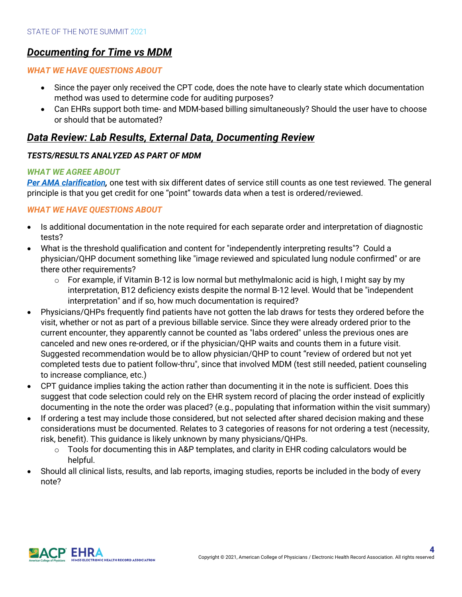# *Documenting for Time vs MDM*

# *WHAT WE HAVE QUESTIONS ABOUT*

- Since the payer only received the CPT code, does the note have to clearly state which documentation method was used to determine code for auditing purposes?
- Can EHRs support both time- and MDM-based billing simultaneously? Should the user have to choose or should that be automated?

# *Data Review: Lab Results, External Data, Documenting Review*

# *TESTS/RESULTS ANALYZED AS PART OF MDM*

# *WHAT WE AGREE ABOUT*

*Per AMA clarification,* one test with six different dates of service still counts as one test reviewed. The general principle is that you get credit for one "point" towards data when a test is ordered/reviewed.

# *WHAT WE HAVE QUESTIONS ABOUT*

- Is additional documentation in the note required for each separate order and interpretation of diagnostic tests?
- What is the threshold qualification and content for "independently interpreting results"? Could a physician/QHP document something like "image reviewed and spiculated lung nodule confirmed" or are there other requirements?
	- $\circ$  For example, if Vitamin B-12 is low normal but methylmalonic acid is high, I might say by my interpretation, B12 deficiency exists despite the normal B-12 level. Would that be "independent interpretation" and if so, how much documentation is required?
- Physicians/QHPs frequently find patients have not gotten the lab draws for tests they ordered before the visit, whether or not as part of a previous billable service. Since they were already ordered prior to the current encounter, they apparently cannot be counted as "labs ordered" unless the previous ones are canceled and new ones re-ordered, or if the physician/QHP waits and counts them in a future visit. Suggested recommendation would be to allow physician/QHP to count "review of ordered but not yet completed tests due to patient follow-thru", since that involved MDM (test still needed, patient counseling to increase compliance, etc.)
- CPT guidance implies taking the action rather than documenting it in the note is sufficient. Does this suggest that code selection could rely on the EHR system record of placing the order instead of explicitly documenting in the note the order was placed? (e.g., populating that information within the visit summary)
- If ordering a test may include those considered, but not selected after shared decision making and these considerations must be documented. Relates to 3 categories of reasons for not ordering a test (necessity, risk, benefit). This guidance is likely unknown by many physicians/QHPs.
	- $\circ$  Tools for documenting this in A&P templates, and clarity in EHR coding calculators would be helpful.
- Should all clinical lists, results, and lab reports, imaging studies, reports be included in the body of every note?

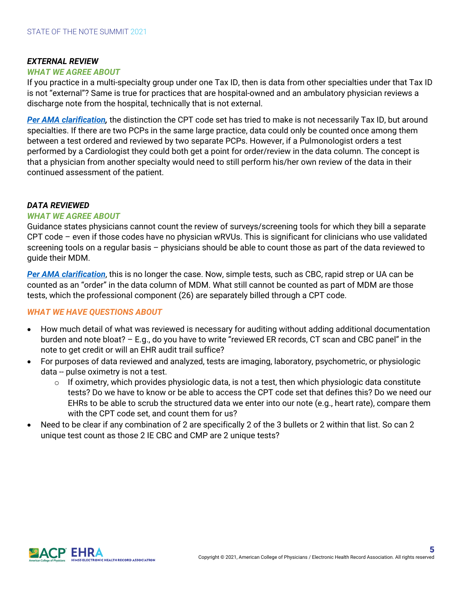#### *EXTERNAL REVIEW*

#### *WHAT WE AGREE ABOUT*

If you practice in a multi-specialty group under one Tax ID, then is data from other specialties under that Tax ID is not "external"? Same is true for practices that are hospital-owned and an ambulatory physician reviews a discharge note from the hospital, technically that is not external.

*Per AMA clarification,* the distinction the CPT code set has tried to make is not necessarily Tax ID, but around specialties. If there are two PCPs in the same large practice, data could only be counted once among them between a test ordered and reviewed by two separate PCPs. However, if a Pulmonologist orders a test performed by a Cardiologist they could both get a point for order/review in the data column. The concept is that a physician from another specialty would need to still perform his/her own review of the data in their continued assessment of the patient.

#### *DATA REVIEWED*

#### *WHAT WE AGREE ABOUT*

Guidance states physicians cannot count the review of surveys/screening tools for which they bill a separate CPT code – even if those codes have no physician wRVUs. This is significant for clinicians who use validated screening tools on a regular basis – physicians should be able to count those as part of the data reviewed to guide their MDM.

*Per AMA clarification*, this is no longer the case. Now, simple tests, such as CBC, rapid strep or UA can be counted as an "order" in the data column of MDM. What still cannot be counted as part of MDM are those tests, which the professional component (26) are separately billed through a CPT code.

#### *WHAT WE HAVE QUESTIONS ABOUT*

- How much detail of what was reviewed is necessary for auditing without adding additional documentation burden and note bloat? – E.g., do you have to write "reviewed ER records, CT scan and CBC panel" in the note to get credit or will an EHR audit trail suffice?
- For purposes of data reviewed and analyzed, tests are imaging, laboratory, psychometric, or physiologic data -- pulse oximetry is not a test.
	- $\circ$  If oximetry, which provides physiologic data, is not a test, then which physiologic data constitute tests? Do we have to know or be able to access the CPT code set that defines this? Do we need our EHRs to be able to scrub the structured data we enter into our note (e.g., heart rate), compare them with the CPT code set, and count them for us?
- Need to be clear if any combination of 2 are specifically 2 of the 3 bullets or 2 within that list. So can 2 unique test count as those 2 IE CBC and CMP are 2 unique tests?

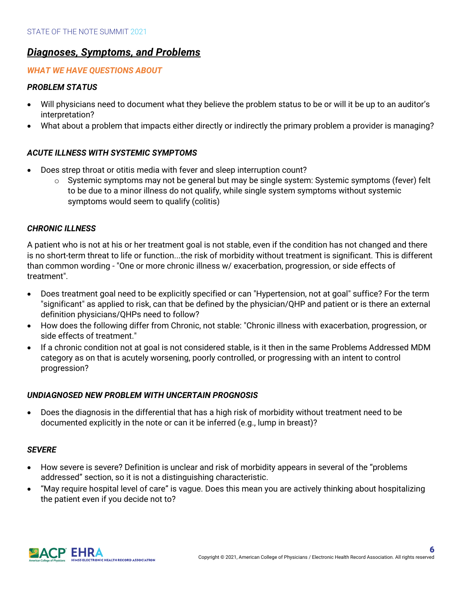# *Diagnoses, Symptoms, and Problems*

## *WHAT WE HAVE QUESTIONS ABOUT*

## *PROBLEM STATUS*

- Will physicians need to document what they believe the problem status to be or will it be up to an auditor's interpretation?
- What about a problem that impacts either directly or indirectly the primary problem a provider is managing?

# *ACUTE ILLNESS WITH SYSTEMIC SYMPTOMS*

- Does strep throat or otitis media with fever and sleep interruption count?
	- $\circ$  Systemic symptoms may not be general but may be single system: Systemic symptoms (fever) felt to be due to a minor illness do not qualify, while single system symptoms without systemic symptoms would seem to qualify (colitis)

## *CHRONIC ILLNESS*

A patient who is not at his or her treatment goal is not stable, even if the condition has not changed and there is no short-term threat to life or function...the risk of morbidity without treatment is significant. This is different than common wording - "One or more chronic illness w/ exacerbation, progression, or side effects of treatment".

- Does treatment goal need to be explicitly specified or can "Hypertension, not at goal" suffice? For the term "significant" as applied to risk, can that be defined by the physician/QHP and patient or is there an external definition physicians/QHPs need to follow?
- How does the following differ from Chronic, not stable: "Chronic illness with exacerbation, progression, or side effects of treatment."
- If a chronic condition not at goal is not considered stable, is it then in the same Problems Addressed MDM category as on that is acutely worsening, poorly controlled, or progressing with an intent to control progression?

## *UNDIAGNOSED NEW PROBLEM WITH UNCERTAIN PROGNOSIS*

• Does the diagnosis in the differential that has a high risk of morbidity without treatment need to be documented explicitly in the note or can it be inferred (e.g., lump in breast)?

#### *SEVERE*

- How severe is severe? Definition is unclear and risk of morbidity appears in several of the "problems addressed" section, so it is not a distinguishing characteristic.
- "May require hospital level of care" is vague. Does this mean you are actively thinking about hospitalizing the patient even if you decide not to?

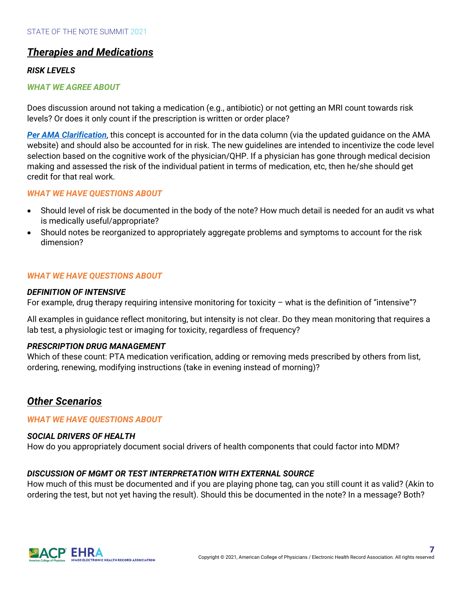# *Therapies and Medications*

## *RISK LEVELS*

#### *WHAT WE AGREE ABOUT*

Does discussion around not taking a medication (e.g., antibiotic) or not getting an MRI count towards risk levels? Or does it only count if the prescription is written or order place?

*Per AMA Clarification*, this concept is accounted for in the data column (via the updated guidance on the AMA website) and should also be accounted for in risk. The new guidelines are intended to incentivize the code level selection based on the cognitive work of the physician/QHP. If a physician has gone through medical decision making and assessed the risk of the individual patient in terms of medication, etc, then he/she should get credit for that real work.

#### *WHAT WE HAVE QUESTIONS ABOUT*

- Should level of risk be documented in the body of the note? How much detail is needed for an audit vs what is medically useful/appropriate?
- Should notes be reorganized to appropriately aggregate problems and symptoms to account for the risk dimension?

#### *WHAT WE HAVE QUESTIONS ABOUT*

#### *DEFINITION OF INTENSIVE*

For example, drug therapy requiring intensive monitoring for toxicity – what is the definition of "intensive"?

All examples in guidance reflect monitoring, but intensity is not clear. Do they mean monitoring that requires a lab test, a physiologic test or imaging for toxicity, regardless of frequency?

#### *PRESCRIPTION DRUG MANAGEMENT*

Which of these count: PTA medication verification, adding or removing meds prescribed by others from list, ordering, renewing, modifying instructions (take in evening instead of morning)?

# *Other Scenarios*

*WHAT WE HAVE QUESTIONS ABOUT*

#### *SOCIAL DRIVERS OF HEALTH*

How do you appropriately document social drivers of health components that could factor into MDM?

## *DISCUSSION OF MGMT OR TEST INTERPRETATION WITH EXTERNAL SOURCE*

How much of this must be documented and if you are playing phone tag, can you still count it as valid? (Akin to ordering the test, but not yet having the result). Should this be documented in the note? In a message? Both?